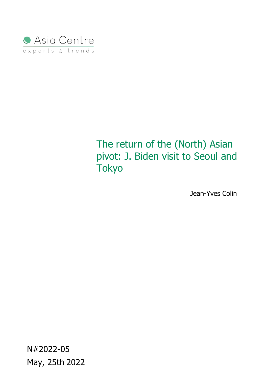

# The return of the (North) Asian pivot: J. Biden visit to Seoul and **Tokyo**

Jean-Yves Colin

N#2022-05 May, 25th 2022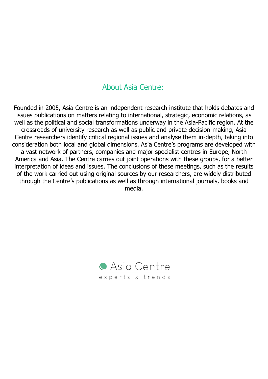## About Asia Centre:

Founded in 2005, Asia Centre is an independent research institute that holds debates and issues publications on matters relating to international, strategic, economic relations, as well as the political and social transformations underway in the Asia-Pacific region. At the crossroads of university research as well as public and private decision-making, Asia Centre researchers identify critical regional issues and analyse them in-depth, taking into consideration both local and global dimensions. Asia Centre's programs are developed with a vast network of partners, companies and major specialist centres in Europe, North America and Asia. The Centre carries out joint operations with these groups, for a better interpretation of ideas and issues. The conclusions of these meetings, such as the results of the work carried out using original sources by our researchers, are widely distributed through the Centre's publications as well as through international journals, books and media.

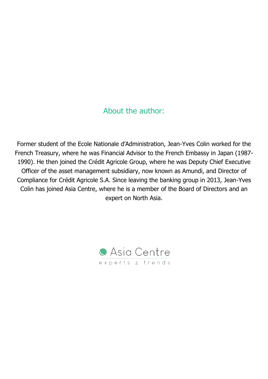### About the author:

Former student of the Ecole Nationale d'Administration, Jean-Yves Colin worked for the French Treasury, where he was Financial Advisor to the French Embassy in Japan (1987- 1990). He then joined the Crédit Agricole Group, where he was Deputy Chief Executive Officer of the asset management subsidiary, now known as Amundi, and Director of Compliance for Crédit Agricole S.A. Since leaving the banking group in 2013, Jean-Yves Colin has joined Asia Centre, where he is a member of the Board of Directors and an expert on North Asia.

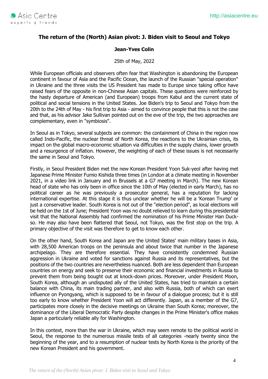

#### **The return of the (North) Asian pivot: J. Biden visit to Seoul and Tokyo**

#### **Jean-Yves Colin**

25th of May, 2022

While European officials and observers often fear that Washington is abandoning the European continent in favour of Asia and the Pacific Ocean, the launch of the Russian "special operation" in Ukraine and the three visits the US President has made to Europe since taking office have raised fears of the opposite in non-Chinese Asian capitals. These questions were reinforced by the hasty departure of American (and European) troops from Kabul and the current state of political and social tensions in the United States. Joe Biden's trip to Seoul and Tokyo from the 20th to the 24th of May - his first trip to Asia - aimed to convince people that this is not the case and that, as his advisor Jake Sullivan pointed out on the eve of the trip, the two approaches are complementary, even in "symbiosis".

In Seoul as in Tokyo, several subjects are common: the containment of China in the region now called Indo-Pacific, the nuclear threat of North Korea, the reactions to the Ukrainian crisis, its impact on the global macro-economic situation via difficulties in the supply chains, lower growth and a resurgence of inflation. However, the weighting of each of these issues is not necessarily the same in Seoul and Tokyo.

Firstly, in Seoul President Biden met the new Korean President Yoon Suk-yeol after having met Japanese Prime Minister Fumio Kishida three times (in London at a climate meeting in November 2021, in a video link in January and in Brussels at a G7 meeting in March). The new Korean head of state who has only been in office since the 10th of May (elected in early March), has no political career as he was previously a prosecutor general, has a reputation for lacking international expertise. At this stage it is thus unclear whether he will be a 'Korean Trump' or just a conservative leader. South Korea is not out of the "election period", as local elections will be held on the 1st of June; President Yoon was no doubt relieved to learn during this presidential visit that the National Assembly had confirmed the nomination of his Prime Minister Han Duckso. He may also have been flattered that Seoul, not Tokyo, was the first stop on the trip. A primary objective of the visit was therefore to get to know each other.

On the other hand, South Korea and Japan are the United States' main military bases in Asia, with 28,500 American troops on the peninsula and about twice that number in the Japanese archipelago. They are therefore essential. They have consistently condemned Russian aggression in Ukraine and voted for sanctions against Russia and its representatives, but the positions of the two countries are nevertheless nuanced. Both are less dependent than European countries on energy and seek to preserve their economic and financial investments in Russia to prevent them from being bought out at knock-down prices. Moreover, under President Moon, South Korea, although an undisputed ally of the United States, has tried to maintain a certain balance with China, its main trading partner, and also with Russia, both of which can exert influence on Pyongyang, which is supposed to be in favour of a dialogue process; but it is still too early to know whether President Yoon will act differently. Japan, as a member of the G7, participates more closely in the decisive meetings on Ukraine than South Korea; moreover, the dominance of the Liberal Democratic Party despite changes in the Prime Minister's office makes Japan a particularly reliable ally for Washington.

In this context, more than the war in Ukraine, which may seem remote to the political world in Seoul, the response to the numerous missile tests of all categories -nearly twenty since the beginning of the year, and to a resumption of nuclear tests by North Korea is the priority of the new Korean President and his government.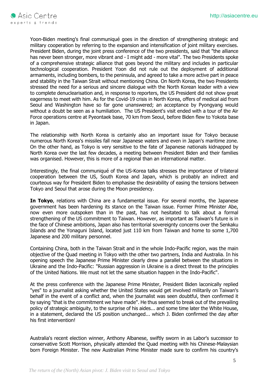

Yoon-Biden meeting's final communiqué goes in the direction of strengthening strategic and military cooperation by referring to the expansion and intensification of joint military exercises. President Biden, during the joint press conference of the two presidents, said that "the alliance has never been stronger, more vibrant and - I might add - more vital". The two Presidents spoke of a comprehensive strategic alliance that goes beyond the military and includes in particular technological cooperation. President Yoon did not rule out the deployment of additional armaments, including bombers, to the peninsula, and agreed to take a more active part in peace and stability in the Taiwan Strait without mentioning China. On North Korea, the two Presidents stressed the need for a serious and sincere dialogue with the North Korean leader with a view to complete denuclearisation and, in response to reporters, the US President did not show great eagerness to meet with him. As for the Covid-19 crisis in North Korea, offers of medical aid from Seoul and Washington have so far gone unanswered; an acceptance by Pyongyang would without a doubt be seen as a humiliation. The US President's visit ended with a tour of the Air Force operations centre at Pyeontaek base, 70 km from Seoul, before Biden flew to Yokota base in Japan.

The relationship with North Korea is certainly also an important issue for Tokyo because numerous North Korea's missiles fall near Japanese waters and even in Japan's maritime zone. On the other hand, as Tokyo is very sensitive to the fate of Japanese nationals kidnapped by North Korea over the last few decades, a meeting between President Biden and their families was organised. However, this is more of a regional than an international matter.

Interestingly, the final communiqué of the US-Korea talks stresses the importance of trilateral cooperation between the US, South Korea and Japan, which is probably an indirect and courteous way for President Biden to emphasise the desirability of easing the tensions between Tokyo and Seoul that arose during the Moon presidency.

**In Tokyo**, relations with China are a fundamental issue. For several months, the Japanese government has been hardening its stance on the Taiwan issue. Former Prime Minister Abe, now even more outspoken than in the past, has not hesitated to talk about a formal strengthening of the US commitment to Taiwan. However, as important as Taiwan's future is in the face of Chinese ambitions, Japan also has territorial sovereignty concerns over the Senkaku Islands and the Yonaguni Island, located just 110 km from Taiwan and home to some 1,700 Japanese and 200 military personnel.

Containing China, both in the Taiwan Strait and in the whole Indo-Pacific region, was the main objective of the Quad meeting in Tokyo with the other two partners, India and Australia. In his opening speech the Japanese Prime Minister clearly drew a parallel between the situations in Ukraine and the Indo-Pacific: "Russian aggression in Ukraine is a direct threat to the principles of the United Nations. We must not let the same situation happen in the Indo-Pacific".

At the press conference with the Japanese Prime Minister, President Biden laconically replied "yes" to a journalist asking whether the United States would get involved militarily on Taiwan's behalf in the event of a conflict and, when the journalist was seen doubtful, then confirmed it by saying "that is the commitment we have made". He thus seemed to break out of the prevailing policy of strategic ambiguity, to the surprise of his aides... and some time later the White House, in a statement, declared the US position unchanged... which J. Biden confirmed the day after his first intervention!

Australia's recent election winner, Anthony Albanese, swiftly sworn in as Labor's successor to conservative Scott Morrison, physically attended the Quad meeting with his Chinese-Malaysian born Foreign Minister. The new Australian Prime Minister made sure to confirm his country's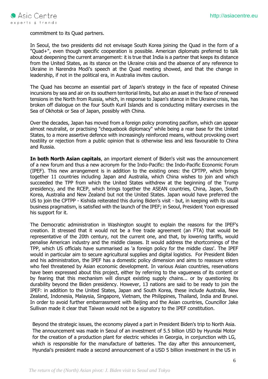commitment to its Quad partners.

In Seoul, the two presidents did not envisage South Korea joining the Quad in the form of a "Quad+", even though specific cooperation is possible. American diplomats preferred to talk about deepening the current arrangement: it is true that India is a partner that keeps its distance from the United States, as its stance on the Ukraine crisis and the absence of any reference to Ukraine in Narendra Modi's speech at the Quad meeting showed, and that the change in leadership, if not in the political era, in Australia invites caution.

The Quad has become an essential part of Japan's strategy in the face of repeated Chinese incursions by sea and air on its southern territorial limits, but also an asset in the face of renewed tensions in the North from Russia, which, in response to Japan's stance in the Ukraine crisis, has broken off dialogue on the four South Kuril Islands and is conducting military exercises in the Sea of Okhotsk or Sea of Japan, possibly with China.

Over the decades, Japan has moved from a foreign policy promoting pacifism, which can appear almost neutralist, or practising "chequebook diplomacy" while being a rear base for the United States, to a more assertive defence with increasingly reinforced means, without provoking overt hostility or rejection from a public opinion that is otherwise less and less favourable to China and Russia.

**In both North Asian capitals**, an important element of Biden's visit was the announcement of a new forum and thus a new acronym for the Indo-Pacific: the Indo-Pacific Economic Forum (IPEF). This new arrangement is in addition to the existing ones: the CPTPP, which brings together 11 countries including Japan and Australia, which China wishes to join and which succeeded the TPP from which the United States withdrew at the beginning of the Trump presidency, and the RCEP, which brings together the ASEAN countries, China, Japan, South Korea, Australia and New Zealand but not the United States. Japan would have preferred the US to join the CPTPP - Kishida reiterated this during Biden's visit - but, in keeping with its usual business pragmatism, is satisfied with the launch of the IPEF; in Seoul, President Yoon expressed his support for it.

The Democratic administration in Washington sought to explain the reasons for the IPEF's creation. It stressed that it would not be a free trade agreement (an FTA) that would be representative of the 20th century, not the current one, and that, by lowering tariffs, would penalise American industry and the middle classes. It would address the shortcomings of the TPP, which US officials have summarised as 'a foreign policy for the middle class'. The IPEF would in particular aim to secure agricultural supplies and digital logistics. For President Biden and his administration, the IPEF has a domestic policy dimension and aims to reassure voters who feel threatened by Asian economic development. In various Asian countries, reservations have been expressed about this project, either by referring to the vagueness of its content or by fearing that this mechanism will disrupt existing supply chains... or by questioning its durability beyond the Biden presidency. However, 13 nations are said to be ready to join the IPEF: in addition to the United States, Japan and South Korea, these include Australia, New Zealand, Indonesia, Malaysia, Singapore, Vietnam, the Philippines, Thailand, India and Brunei. In order to avoid further embarrassment with Beijing and the Asian countries, Councillor Jake Sullivan made it clear that Taiwan would not be a signatory to the IPEF constitution.

Beyond the strategic issues, the economy played a part in President Biden's trip to North Asia. The announcement was made in Seoul of an investment of 5.5 billion USD by Hyundai Motor for the creation of a production plant for electric vehicles in Georgia, in conjunction with LG, which is responsible for the manufacture of batteries. The day after this announcement, Hyundai's president made a second announcement of a USD 5 billion investment in the US in